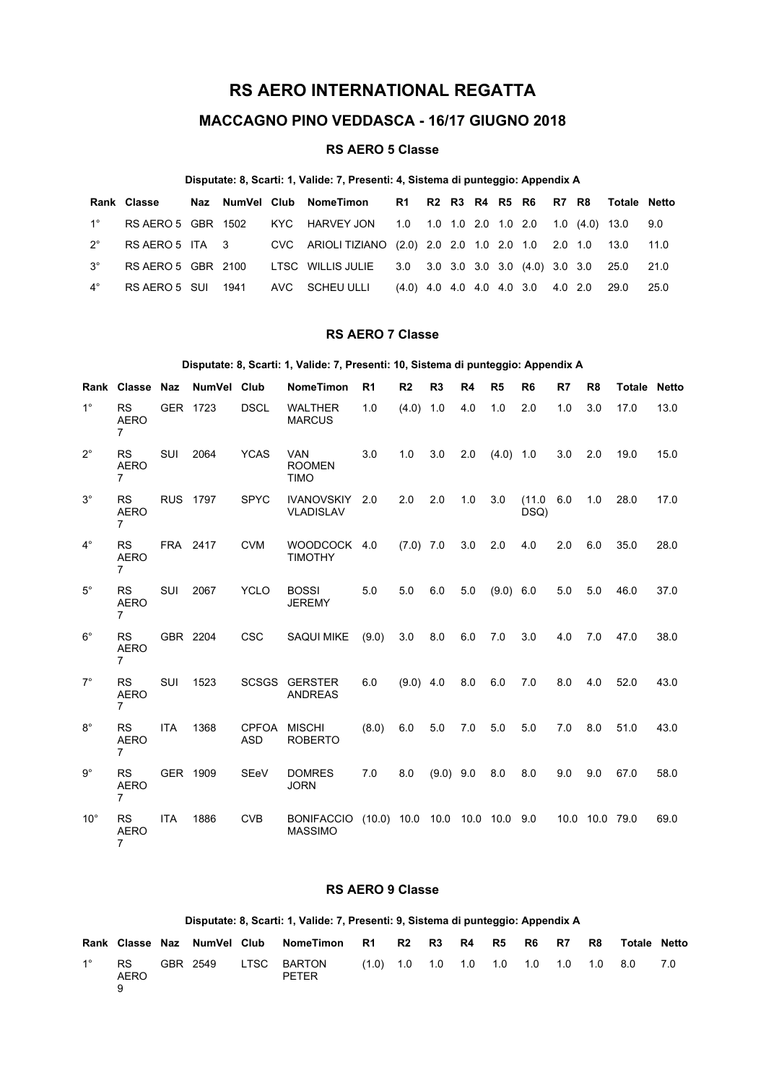# **RS AERO INTERNATIONAL REGATTA**

## **MACCAGNO PINO VEDDASCA - 16/17 GIUGNO 2018**

## **RS AERO 5 Classe**

### **Disputate: 8, Scarti: 1, Valide: 7, Presenti: 4, Sistema di punteggio: Appendix A**

|             | Rank Classe        |  | Naz NumVel Club NomeTimon 6 R1 R2 R3 R4 R5 R6 R7 R8 Totale Netto               |  |  |  |  |        |
|-------------|--------------------|--|--------------------------------------------------------------------------------|--|--|--|--|--------|
| $1^{\circ}$ |                    |  | RS AERO 5 GBR 1502 KYC HARVEY JON 1.0 1.0 1.0 2.0 1.0 2.0 1.0 (4.0) 13.0 9.0   |  |  |  |  |        |
| $2^{\circ}$ |                    |  | RS AERO 5 ITA 3 CVC ARIOLI TIZIANO (2.0) 2.0 2.0 1.0 2.0 1.0 2.0 1.0 13.0 11.0 |  |  |  |  |        |
| $3^{\circ}$ | RS AERO 5 GBR 2100 |  | LTSC WILLIS JULIE 3.0 3.0 3.0 3.0 3.0 (4.0) 3.0 3.0 25.0 21.0                  |  |  |  |  |        |
| $4^{\circ}$ |                    |  | RS AERO 5 SUI 1941 AVC SCHEU ULLI (4.0) 4.0 4.0 4.0 4.0 3.0 4.0 2.0 29.0       |  |  |  |  | - 25.0 |

## **RS AERO 7 Classe**

#### **Disputate: 8, Scarti: 1, Valide: 7, Presenti: 10, Sistema di punteggio: Appendix A**

|              | Rank Classe Naz                            |            | NumVel          | Club                       | <b>NomeTimon</b>                           | R <sub>1</sub>               | R <sub>2</sub> | R <sub>3</sub> | R4  | R <sub>5</sub> | R <sub>6</sub> | R7   | R <sub>8</sub> | Totale | <b>Netto</b> |
|--------------|--------------------------------------------|------------|-----------------|----------------------------|--------------------------------------------|------------------------------|----------------|----------------|-----|----------------|----------------|------|----------------|--------|--------------|
| $1^{\circ}$  | <b>RS</b><br><b>AERO</b><br>$\overline{7}$ |            | GER 1723        | <b>DSCL</b>                | <b>WALTHER</b><br><b>MARCUS</b>            | 1.0                          | (4.0)          | 1.0            | 4.0 | 1.0            | 2.0            | 1.0  | 3.0            | 17.0   | 13.0         |
| $2^{\circ}$  | <b>RS</b><br><b>AERO</b><br>$\overline{7}$ | SUI        | 2064            | <b>YCAS</b>                | <b>VAN</b><br><b>ROOMEN</b><br><b>TIMO</b> | 3.0                          | 1.0            | 3.0            | 2.0 | $(4.0)$ 1.0    |                | 3.0  | 2.0            | 19.0   | 15.0         |
| $3^\circ$    | <b>RS</b><br><b>AERO</b><br>$\overline{7}$ |            | <b>RUS 1797</b> | <b>SPYC</b>                | <b>IVANOVSKIY</b><br><b>VLADISLAV</b>      | 2.0                          | 2.0            | 2.0            | 1.0 | 3.0            | (11.0)<br>DSQ) | 6.0  | 1.0            | 28.0   | 17.0         |
| $4^\circ$    | <b>RS</b><br><b>AERO</b><br>$\overline{7}$ |            | FRA 2417        | <b>CVM</b>                 | <b>WOODCOCK</b><br><b>TIMOTHY</b>          | 4.0                          | $(7.0)$ 7.0    |                | 3.0 | 2.0            | 4.0            | 2.0  | 6.0            | 35.0   | 28.0         |
| $5^{\circ}$  | <b>RS</b><br><b>AERO</b><br>$\overline{7}$ | <b>SUI</b> | 2067            | <b>YCLO</b>                | <b>BOSSI</b><br><b>JEREMY</b>              | 5.0                          | 5.0            | 6.0            | 5.0 | (9.0) 6.0      |                | 5.0  | 5.0            | 46.0   | 37.0         |
| $6^{\circ}$  | <b>RS</b><br><b>AERO</b><br>$\overline{7}$ |            | GBR 2204        | <b>CSC</b>                 | <b>SAQUI MIKE</b>                          | (9.0)                        | 3.0            | 8.0            | 6.0 | 7.0            | 3.0            | 4.0  | 7.0            | 47.0   | 38.0         |
| $7^\circ$    | <b>RS</b><br><b>AERO</b><br>$\overline{7}$ | <b>SUI</b> | 1523            | <b>SCSGS</b>               | <b>GERSTER</b><br><b>ANDREAS</b>           | 6.0                          | $(9.0)$ 4.0    |                | 8.0 | 6.0            | 7.0            | 8.0  | 4.0            | 52.0   | 43.0         |
| $8^{\circ}$  | <b>RS</b><br><b>AERO</b><br>$\overline{7}$ | <b>ITA</b> | 1368            | <b>CPFOA</b><br><b>ASD</b> | <b>MISCHI</b><br><b>ROBERTO</b>            | (8.0)                        | 6.0            | 5.0            | 7.0 | 5.0            | 5.0            | 7.0  | 8.0            | 51.0   | 43.0         |
| $9^{\circ}$  | <b>RS</b><br><b>AERO</b><br>$\overline{7}$ |            | GER 1909        | SEeV                       | <b>DOMRES</b><br><b>JORN</b>               | 7.0                          | 8.0            | $(9.0)$ 9.0    |     | 8.0            | 8.0            | 9.0  | 9.0            | 67.0   | 58.0         |
| $10^{\circ}$ | <b>RS</b><br><b>AERO</b><br>$\overline{7}$ | <b>ITA</b> | 1886            | <b>CVB</b>                 | <b>BONIFACCIO</b><br><b>MASSIMO</b>        | $(10.0)$ 10.0 10.0 10.0 10.0 |                |                |     |                | 9.0            | 10.0 | 10.0           | 79.0   | 69.0         |

## **RS AERO 9 Classe**

#### **Disputate: 8, Scarti: 1, Valide: 7, Presenti: 9, Sistema di punteggio: Appendix A**

|             |                   | Rank Classe Naz NumVel Club | NomeTimon                   | R1                                      | R2 | R3 | R4 | R5 | R6 | <b>R7</b> | R8 | <b>Totale Netto</b> |  |
|-------------|-------------------|-----------------------------|-----------------------------|-----------------------------------------|----|----|----|----|----|-----------|----|---------------------|--|
| $1^{\circ}$ | <b>RS</b><br>AERO | GBR 2549                    | LTSC BARTON<br><b>PETER</b> | $(1.0)$ 1.0 1.0 1.0 1.0 1.0 1.0 1.0 8.0 |    |    |    |    |    |           |    |                     |  |